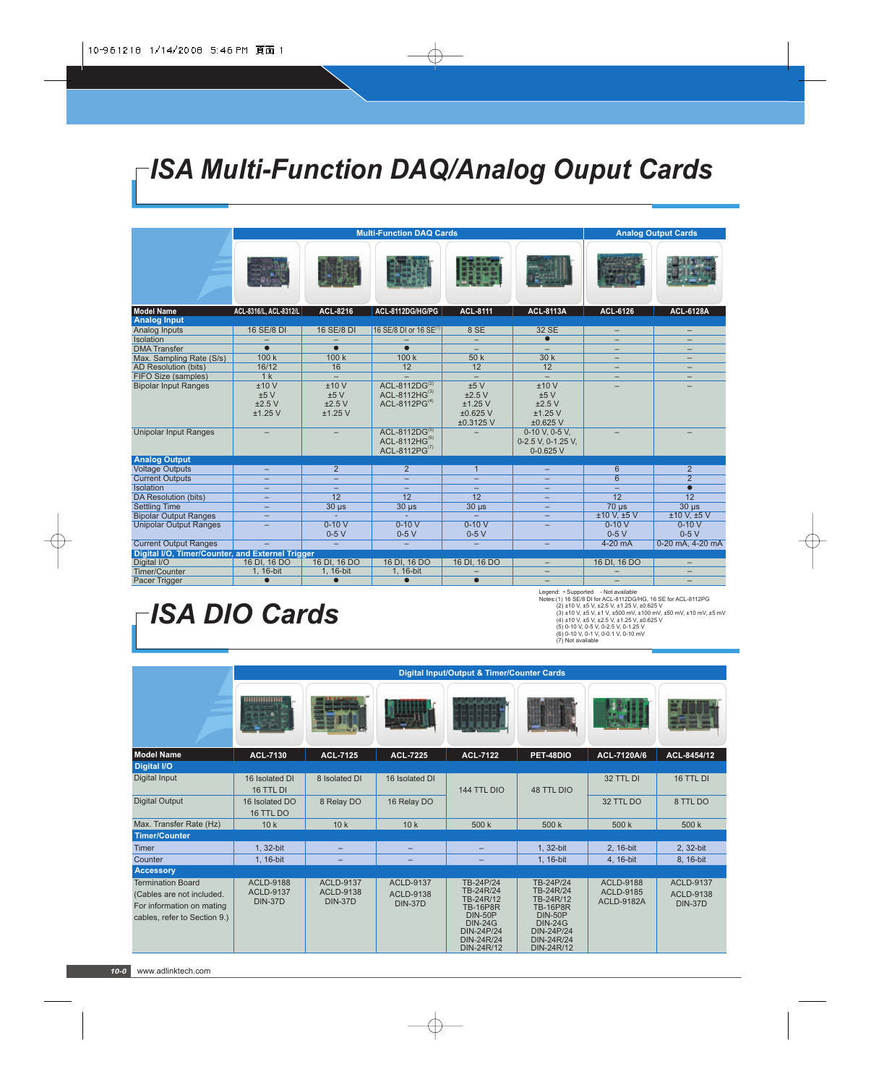# *ISA Multi-Function DAQ/Analog Ouput Cards*

|                                                  |                          | <b>Multi-Function DAQ Cards</b> | <b>Analog Output Cards</b>                                     |                                      |                                                       |                          |                      |
|--------------------------------------------------|--------------------------|---------------------------------|----------------------------------------------------------------|--------------------------------------|-------------------------------------------------------|--------------------------|----------------------|
|                                                  |                          |                                 |                                                                |                                      |                                                       |                          |                      |
| <b>Model Name</b>                                | ACL-8316/L, ACL-8312/L   | ACL-8216                        | ACL-8112DG/HG/PG                                               | <b>ACL-8111</b>                      | <b>ACL-8113A</b>                                      | ACL-6126                 | <b>ACL-6128A</b>     |
| <b>Analog Input</b>                              |                          |                                 |                                                                |                                      |                                                       |                          |                      |
| Analog Inputs                                    | 16 SE/8 DI               | 16 SE/8 DI                      | 16 SE/8 DI or 16 SE <sup>(1)</sup>                             | 8 SE                                 | 32 SE                                                 | $\equiv$                 | -                    |
| Isolation                                        |                          |                                 |                                                                |                                      | $\bullet$                                             | -                        |                      |
| <b>DMA</b> Transfer                              | $\bullet$                | $\bullet$                       | $\bullet$                                                      | $\overline{\phantom{0}}$             | $\equiv$                                              | $\equiv$                 | -                    |
| Max. Sampling Rate (S/s)                         | 100k                     | 100k                            | 100k                                                           | 50k                                  | 30k                                                   | $\equiv$                 | -                    |
| AD Resolution (bits)                             | 16/12                    | 16                              | 12                                                             | 12                                   | 12                                                    |                          |                      |
| FIFO Size (samples)                              | 1 <sub>k</sub>           | $\equiv$                        |                                                                |                                      | $\equiv$                                              | $\overline{\phantom{0}}$ |                      |
| <b>Bipolar Input Ranges</b>                      | ±10V                     | ±10V                            | ACL-8112DG(2)                                                  | ±5V                                  | ±10V                                                  |                          |                      |
|                                                  | ±5V                      | ±5V                             | $ACL-8112HG^{(3)}$                                             | ±2.5V                                | ±5V                                                   |                          |                      |
|                                                  | ±2.5V<br>$±1.25$ V       | ±2.5V<br>$±1.25$ V              | $ACL-8112PG(4)$                                                | $±1.25$ V<br>$±0.625$ V<br>±0.3125 V | ±2.5V<br>$±1.25$ V<br>$±0.625$ V                      |                          |                      |
| <b>Unipolar Input Ranges</b>                     |                          |                                 | ACL-8112DG(5)<br>ACL-8112HG <sup>(6)</sup><br>ACL-8112PG $(7)$ |                                      | 0-10 V, 0-5 V,<br>0-2.5 V, 0-1.25 V,<br>$0 - 0.625$ V |                          |                      |
| <b>Analog Output</b>                             |                          |                                 |                                                                |                                      |                                                       |                          |                      |
| <b>Voltage Outputs</b>                           | $\overline{\phantom{0}}$ | 2                               | $\overline{2}$                                                 | $\mathbf{1}$                         | -                                                     | 6                        | $\overline{2}$       |
| <b>Current Outputs</b>                           | $\overline{\phantom{0}}$ |                                 | $\overline{\phantom{0}}$                                       |                                      |                                                       | $\overline{6}$           | $\overline{2}$       |
| Isolation                                        | $\overline{\phantom{0}}$ | -                               | $\equiv$                                                       | ÷.                                   | -                                                     | $\equiv$                 | $\overline{\bullet}$ |
| DA Resolution (bits)                             | $\overline{\phantom{0}}$ | $\overline{12}$                 | $\overline{12}$                                                | $\overline{12}$                      | $\equiv$                                              | $\overline{12}$          | $\overline{12}$      |
| <b>Settling Time</b>                             | $\overline{\phantom{0}}$ | $30 \mu s$                      | $30 \mu s$                                                     | $30 \mu s$                           |                                                       | $70 \mu s$               | $30 \mu s$           |
| <b>Bipolar Output Ranges</b>                     | $\equiv$                 |                                 |                                                                |                                      | $\equiv$                                              | $±10$ V. $±5$ V          | ±10 V.±5 V           |
| <b>Unipolar Output Ranges</b>                    | -                        | $0-10V$                         | $0-10V$                                                        | $0-10V$                              | -                                                     | $0-10V$                  | $0-10V$              |
|                                                  |                          | $0-5V$                          | $0-5V$                                                         | $0-5V$                               |                                                       | $0-5V$                   | $0-5V$               |
| <b>Current Output Ranges</b>                     |                          | ÷                               | $\equiv$                                                       | $-$                                  | $\overline{\phantom{0}}$                              | $4-20$ mA                | 0-20 mA, 4-20 mA     |
| Digital I/O, Timer/Counter, and Externel Trigger |                          |                                 |                                                                |                                      |                                                       |                          |                      |
| Digital I/O                                      | 16 DI, 16 DO             | 16 DI, 16 DO                    | 16 DI, 16 DO                                                   | 16 DI, 16 DO                         | $\overline{\phantom{0}}$                              | 16 DI, 16 DO             |                      |
| Timer/Counter                                    | 1, 16-bit                | 1, 16-bit                       | 1, 16-bit                                                      |                                      | $\overline{\phantom{0}}$                              |                          |                      |
| Pacer Trigger                                    | $\bullet$                |                                 | $\bullet$                                                      | $\bullet$                            | $\equiv$                                              |                          |                      |

# *ISA DIO Cards*

Legend: • Supported - Not available<br>
Notes: (1) 16 SE/8 DI for ACL-8112DG/HG, 16 SE for ACL-8112PG<br>
(2) ±10 V, ±5 V, ±2.5 V, ±1.25 V, ±0.625 V<br>
(3) ±10 V, ±5 V, ±2.5 V, ±1.25 V, ±10.625 V<br>
(4) ±10 V, ±5 V, ±2.5 V, ±1.25 V

|                                                                                                                    | Digital Input/Output & Timer/Counter Cards             |                                                        |                                                 |                                                                                                                                             |                                                                                                                                             |                                                    |                                                        |  |  |
|--------------------------------------------------------------------------------------------------------------------|--------------------------------------------------------|--------------------------------------------------------|-------------------------------------------------|---------------------------------------------------------------------------------------------------------------------------------------------|---------------------------------------------------------------------------------------------------------------------------------------------|----------------------------------------------------|--------------------------------------------------------|--|--|
|                                                                                                                    |                                                        |                                                        |                                                 |                                                                                                                                             |                                                                                                                                             |                                                    |                                                        |  |  |
| <b>Model Name</b>                                                                                                  | <b>ACL-7130</b>                                        | <b>ACL-7125</b>                                        | <b>ACL-7225</b>                                 | <b>ACL-7122</b>                                                                                                                             | PET-48DIO                                                                                                                                   | ACL-7120A/6                                        | ACL-8454/12                                            |  |  |
| Digital I/O                                                                                                        |                                                        |                                                        |                                                 |                                                                                                                                             |                                                                                                                                             |                                                    |                                                        |  |  |
| Digital Input                                                                                                      | 16 Isolated DI<br>16 TTL DI                            | 8 Isolated DI                                          | 16 Isolated DI                                  | 144 TTL DIO                                                                                                                                 | <b>48 TTL DIO</b>                                                                                                                           | 32 TTL DI                                          | 16 TTL DI                                              |  |  |
| <b>Digital Output</b>                                                                                              | 16 Isolated DO<br>16 TTL DO                            | 8 Relay DO                                             | 16 Relay DO                                     |                                                                                                                                             |                                                                                                                                             | 32 TTL DO                                          | 8 TTL DO                                               |  |  |
| Max. Transfer Rate (Hz)                                                                                            | 10k                                                    | 10k                                                    | 10k                                             | 500 k                                                                                                                                       | 500 k                                                                                                                                       | 500k                                               | 500 k                                                  |  |  |
| <b>Timer/Counter</b>                                                                                               |                                                        |                                                        |                                                 |                                                                                                                                             |                                                                                                                                             |                                                    |                                                        |  |  |
| <b>Timer</b>                                                                                                       | 1, 32-bit                                              | $\overline{\phantom{0}}$                               | $-$                                             | -                                                                                                                                           | 1, 32-bit                                                                                                                                   | 2, 16-bit                                          | 2, 32-bit                                              |  |  |
| Counter                                                                                                            | 1, 16-bit                                              | -                                                      | -                                               | $\overline{\phantom{0}}$                                                                                                                    | 1, 16-bit                                                                                                                                   | 4, 16-bit                                          | 8, 16-bit                                              |  |  |
| <b>Accessory</b>                                                                                                   |                                                        |                                                        |                                                 |                                                                                                                                             |                                                                                                                                             |                                                    |                                                        |  |  |
| <b>Termination Board</b><br>(Cables are not included.<br>For information on mating<br>cables, refer to Section 9.) | <b>ACLD-9188</b><br><b>ACLD-9137</b><br><b>DIN-37D</b> | <b>ACLD-9137</b><br><b>ACLD-9138</b><br><b>DIN-37D</b> | <b>ACLD-9137</b><br>ACLD-9138<br><b>DIN-37D</b> | TB-24P/24<br>TB-24R/24<br>TB-24R/12<br><b>TB-16P8R</b><br><b>DIN-50P</b><br><b>DIN-24G</b><br><b>DIN-24P/24</b><br>DIN-24R/24<br>DIN-24R/12 | TB-24P/24<br>TB-24R/24<br>TB-24R/12<br><b>TB-16P8R</b><br><b>DIN-50P</b><br><b>DIN-24G</b><br><b>DIN-24P/24</b><br>DIN-24R/24<br>DIN-24R/12 | <b>ACLD-9188</b><br>ACLD-9185<br><b>ACLD-9182A</b> | <b>ACLD-9137</b><br><b>ACLD-9138</b><br><b>DIN-37D</b> |  |  |